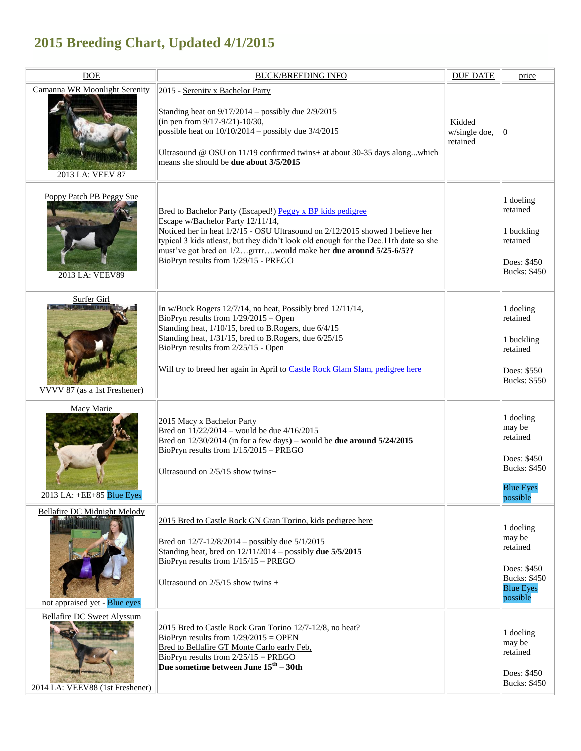## **2015 Breeding Chart, Updated 4/1/2015**

| <b>DOE</b>                                                           | <b>BUCK/BREEDING INFO</b>                                                                                                                                                                                                                                                                                                                                                            | <b>DUE DATE</b>                     | price                                                                                                 |
|----------------------------------------------------------------------|--------------------------------------------------------------------------------------------------------------------------------------------------------------------------------------------------------------------------------------------------------------------------------------------------------------------------------------------------------------------------------------|-------------------------------------|-------------------------------------------------------------------------------------------------------|
| Camanna WR Moonlight Serenity<br>2013 LA: VEEV 87                    | 2015 - Serenity x Bachelor Party<br>Standing heat on $9/17/2014$ – possibly due $2/9/2015$<br>(in pen from 9/17-9/21)-10/30,<br>possible heat on $10/10/2014$ – possibly due $3/4/2015$<br>Ultrasound @ OSU on 11/19 confirmed twins+ at about 30-35 days alongwhich<br>means she should be <b>due about 3/5/2015</b>                                                                | Kidded<br>w/single doe,<br>retained | 0                                                                                                     |
| Poppy Patch PB Peggy Sue<br>2013 LA: VEEV89                          | Bred to Bachelor Party (Escaped!) Peggy x BP kids pedigree<br>Escape w/Bachelor Party 12/11/14,<br>Noticed her in heat 1/2/15 - OSU Ultrasound on 2/12/2015 showed I believe her<br>typical 3 kids atleast, but they didn't look old enough for the Dec.11th date so she<br>must've got bred on 1/2grrrrwould make her due around 5/25-6/5??<br>BioPryn results from 1/29/15 - PREGO |                                     | 1 doeling<br>retained<br>1 buckling<br>retained<br>Does: \$450<br><b>Bucks: \$450</b>                 |
| Surfer Girl<br>VVVV 87 (as a 1st Freshener)                          | In w/Buck Rogers 12/7/14, no heat, Possibly bred 12/11/14,<br>BioPryn results from 1/29/2015 - Open<br>Standing heat, 1/10/15, bred to B.Rogers, due 6/4/15<br>Standing heat, 1/31/15, bred to B.Rogers, due 6/25/15<br>BioPryn results from 2/25/15 - Open<br>Will try to breed her again in April to Castle Rock Glam Slam, pedigree here                                          |                                     | 1 doeling<br>retained<br>1 buckling<br>retained<br>Does: \$550<br><b>Bucks: \$550</b>                 |
| Macy Marie<br>2013 LA: +EE+85 Blue Eyes                              | 2015 Macy x Bachelor Party<br>Bred on $11/22/2014$ – would be due $4/16/2015$<br>Bred on $12/30/2014$ (in for a few days) – would be <b>due around <math>5/24/2015</math></b><br>BioPryn results from 1/15/2015 - PREGO<br>Ultrasound on $2/5/15$ show twins+                                                                                                                        |                                     | 1 doeling<br>may be<br>retained<br>Does: \$450<br><b>Bucks: \$450</b><br><b>Blue Eyes</b><br>possible |
| Bellafire DC Midnight Melody<br>not appraised yet - Blue eyes        | 2015 Bred to Castle Rock GN Gran Torino, kids pedigree here<br>Bred on 12/7-12/8/2014 - possibly due 5/1/2015<br>Standing heat, bred on $12/11/2014$ – possibly due $5/5/2015$<br>BioPryn results from 1/15/15 - PREGO<br>Ultrasound on $2/5/15$ show twins +                                                                                                                        |                                     | 1 doeling<br>may be<br>retained<br>Does: \$450<br><b>Bucks: \$450</b><br><b>Blue Eyes</b><br>possible |
| <b>Bellafire DC Sweet Alyssum</b><br>2014 LA: VEEV88 (1st Freshener) | 2015 Bred to Castle Rock Gran Torino 12/7-12/8, no heat?<br>BioPryn results from $1/29/2015 =$ OPEN<br>Bred to Bellafire GT Monte Carlo early Feb.<br>BioPryn results from $2/25/15 = PREGO$<br>Due sometime between June $15th - 30th$                                                                                                                                              |                                     | 1 doeling<br>may be<br>retained<br>Does: \$450<br><b>Bucks: \$450</b>                                 |